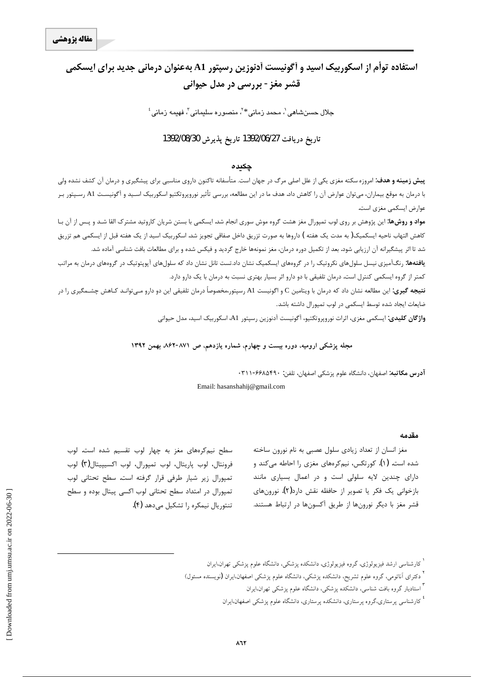# استفاده توأم از اسکوربیک اسید و أگونیست أدنوزین رسیتور A1 بهعنوان درمانی جدید برای ایسکمی قشر مغز - بررسي در مدل حيواني

جلال حسنشاهی`، محمد زمانی\*<sup>۲</sup>، منصوره سلیمانی<sup>۳</sup>، فهیمه زمانی<sup>؛</sup>

### **1392/08/30Ë~axËZe 1392/06/27d§ZË{xËZe**

#### چکیده

**پیش زمینه و هدف**: امروزه سکته مغزی یکی از علل اصلی مرگ در جهان است. متأسفانه تاکنون داروی مناسبی برای پیشگیری و درمان آن کشف نشده ولی با درمان به موقع بيماران، مي<code>توان عوارض آن را كاهش داد. هدف ما در اين مطالعه، بررسي تأثير نوروپروتكتيو اسكوربيک اسـيد و آگونيسـت A1 رسـپتور بـر</mark></code> عوارض ايسكمي مغزي است.

<mark>مواد و روشها</mark>: این پژوهش بر روی لوب تمپورال مغز هشت گروه موش سوری انجام شد. ایسکمی با بستن شریان کاروتید مشترک القا شـد و پـس از آن بـا كاهش التهاب ناحيه ايسكميك( به مدت يک هفته ) داروها به صورت تزريق داخل صفاقي تجويز شد. اسكوربيک اسيد از يک هفته قبل از ايسكمي هم تزريق شد تا اثر پیشگیرانه آن ارزیابی شود. بعد از تکمیل دوره درمان، مغز نمونهها خارج گردید و فیکس شده و برای مطالعات بافت شناسی آماده شد.

**یافتهها:** رنگآمیزی نیسل سلولهای نکروتیک را در گروههای ایسکمیک نشان داد.تست تانل نشان داد که سلولهای آپوپتوتیک در گروههای درمان به مراتب کمتر از گروه ایسکمی کنترل است. درمان تلفیقی با دو دارو اثر بسیار بهتری نسبت به درمان با یک دارو دارد.

**نتيجه گيري:** اين مطالعه نشان داد كه درمان با ويتامين C و اگونيست A1 رسپتور،مخصوصاً درمان تلفيقي اين دو دارو مـي<code>توانـد كـاهش چشـمگيري را در</code> ضايعات ايجاد شده توسط ايسكمي در لوب تميورال داشته باشد.

و**اژگان کلیدی:** ایسکمی مغزی، اثرات نوروپروتکتیو، آگونیست آدنوزین رسپتور A1، اسکوربیک اسید، مدل حیوانی

مجله پزشکی ارومیه، دوره بیست و چهارم، شماره یازدهم، ص ۸۷۱–۸۶۲ بهمن ۱۳۹۲

آ**درس مكاتبه**: اصفهان، دانشگاه علوم پزشكي اصفهان، تلفن: ۴۹۰×۶۶-۳۱۱۰

Email: hasanshahij@gmail.com

#### **مقدمه**

مغز انسان از تعداد زيادي سلول عصبي به نام نورون ساخته شده است. (۱). کورتکس، نیمکرههای مغزی را احاطه میکند و دارای چندین لایه سلولی است و در اعمال بسیاری مانند بازخوانی یک فکر یا تصویر از حافظه نقش دارد(۲). نورونهای قشر مغز با دیگر نورونها از طریق آکسونها در ارتباط هستند.

شطح نیم کرههای مغز به چهار لوب تقسیم شده است. لوب فرونتال، لوب پاريتال، لوب تمپورال، لوب اكسيپيتال(٣) لوب تمپورال زير شيار طرفي قرار گرفته است. سطح تحتاني لوب تمپورال در امتداد سطح تحتانی لوب اکسی پیتال بوده و سطح تنتوريال نيمكره را تشكيل مىدهد (۴).

 $\overline{a}$ 

<sup>ٔ</sup> کارشناسی ارشد فیزیولوژی، گروه فیزیولوژی، دانشکده پزشکی، دانشگاه علوم پزشکی تهران،ایران

<sup>&</sup>lt;sup>7</sup> دکترای اَناتومی، گروه علوم تشریح، دانشکده پزشکی، دانشگاه علوم پزشکی اصفهان،ایران **(**نویسنده مسئول)

۱ ستادیار گروه بافت شناسی، دانشکده پزشکی، دانشگاه علوم پزشکی تهران،ایران

<sup>،&</sup>lt;br>کارشناسی پرستاری،گروه پرستاری، دانشکده پرستاری، دانشگاه علوم پزشکی اصفهان،ایران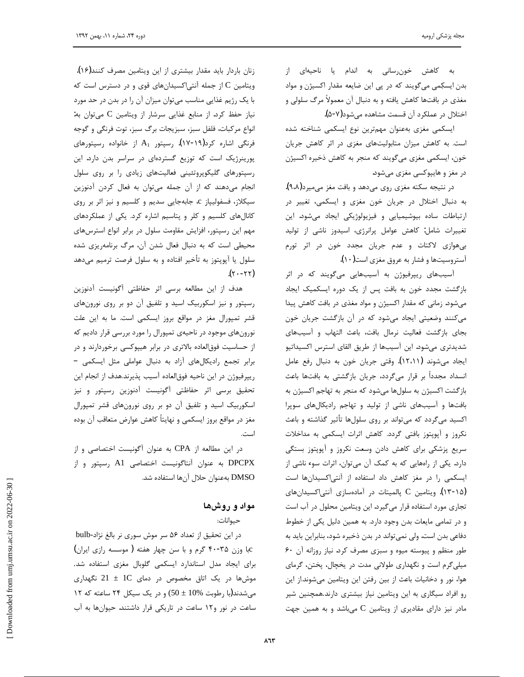به كاهش خون سانى به اندام يا ناحيهاى از بدن ایسکِمی میگویند که در پی این ضایعه مقدار اکسیژن و مواد مغذی در بافتها کاهش یافته و به دنبال آن معمولاً مرگ سلولی و اختلال در عملكرد آن قسمت مشاهده مىشود(۵-۵).

 $\overline{a}$ 

ایسکمی مغزی بهعنوان مهمترین نوع ایسکمی شناخته شده است. به کاهش میزان متابولیتهای مغزی در اثر کاهش جریان خون، ایسکمی مغزی میگویند که منجر به کاهش ذخیره اکسیژن در مغز و هايپوكسى مغزى مىشود.

در نتيجه سكته مغزى روى مىدهد و بافت مغز مىميرد(٩،٨). به دنبال اختلال در جريان خون مغزى و ايسكمى، تغيير در ارتباطات ساده بيوشيميايي و فيزيولوژيكي ايجاد مىشود. اين تغييرات شامل: كاهش عوامل پرانرژى، اسيدوز ناشى از توليد بیهوازی لاکتات و عدم جریان مجدد خون در اثر تورم آستروسیتها و فشار به عروق مغزی است(۱۰).

آسیبهای ریپرفیوژن به آسیبهایی میگویند که در اثر بازگشت مجدد خون به بافت پس از یک دوره ایسکمیک ایجاد میشود. زمانی که مقدار اکسیژن و مواد مغذی در بافت کاهش پیدا میکنند وضعیتی ایجاد میشود که در آن بازگشت جریان خون بجاى بازگشت فعاليت نرمال بافت، باعث التهاب و آسيبهاى شديدترى مىشود. اين آسيبها از طريق القاى استرس اكسيداتيو ايجاد ميشوند (١٢،١١). وقتى جريان خون به دنبال رفع عامل انسداد مجدداً بر قرار میگردد، جریان بازگشتی به بافتها باعث بازگشت اکسیژن به سلولها میشود که منجر به تهاجم اکسیژن به بافتها و آسیبهای ناشی از تولید و تهاجم رادیکالهای سوپرا اکسید میگردد که میتواند بر روی سلولها تأثیر گذاشته و باعث نکروز و آپوپتوز بافتی گردد. کاهش اثرات ایسکمی به مداخلات سریع پزشکی برای کاهش دادن وسعت نکروز و آپویتوز بستگی دارد. یکی از راههایی که به کمک آن میتوان، اثرات سوء ناشی از ایسکمی را در مغز کاهش داد استفاده از آنتی اکسیدانها است (۱۳-۱۵). ویتامین C پالمیتات در آمادهسازی آنتیاکسیدانهای تجاری مورد استفاده قرار میگیرد. این ویتامین محلول در آب است و در تمامی مایعات بدن وجود دارد. به همین دلیل یکی از خطوط دفاعی بدن است. ولی نمیتواند در بدن ذخیره شود، بنابراین باید به خور منظم و پیوسته میوه و سبزی مصرف کرد. نیاز روزانه آن ۶۰ میلی گرم است و نگهداری طولانی مدت در یخچال، یختن، گرمای هوا، نور و دخانيات باعث از بين رفتن اين ويتامين ميشوند.از اين رو افراد سیگاری به این ویتامین نیاز بیشتری دارند.همچنین شیر مادر نیز دارای مقادیری از ویتامین C میباشد و به همین جهت

زنان باردار باید مقدار بیشتری از این ویتامین مصرف کنند(۱۶). ویتامین C از جمله آنتی اکسیدانهای قوی و در دسترس است که با یک رژیم غذایی مناسب می توان میزان آن را در بدن در حد مورد نياز حفظ كرد. از منابع غذايي سرشار از ويتامين C مي توان به: انواع مركبات، فلفل سبز، سبزيجات برگ سبز، توت فرنگي و گوجه فرنگی اشاره کرد(۱۹-۱۷). رسپتور  $A_1$  از خانواده رسپتورهای پورینرژیک است که توزیع گستردهای در سراسر بدن دارد. این رسپتورهای گلیکوپروتئینی فعالیتهای زیادی را بر روی سلول انجام میدهند که از آن جمله میتوان به فعال کردن آدنوزین سیکلاز، فسفولیپاز c، جابهجایی سدیم و کلسیم و نیز اثر بر روی کانالهای کلسیم و کلر و پتاسیم اشاره کرد. یکی از عملکردهای مهم این رسپتور، افزایش مقاومت سلول در برابر انواع استرسهای محیطی است که به دنبال فعال شدن آن، مرگ برنامهریزی شده سلول یا آپوپتوز به تأخیر افتاده و به سلول فرصت ترمیم میدهد  $(\gamma - \gamma \gamma)$ 

هدف از این مطالعه برسی اثر حفاظتی آگونیست آدنوزین رسپتور و نیز اسکوربیک اسید و تلفیق آن دو بر روی نورونهای قشر تمپورال مغز در مواقع بروز ایسکمی است. ما به این علت نورونهای موجود در ناحیهی تمپورال را مورد بررسی قرار دادیم که از حساسیت فوقالعاده بالاتری در برابر هیپوکسی برخوردارند و در برابر تجمع راديكالهاى آزاد به دنبال عواملى مثل ايسكمى -ریپرفیوژن در این ناحیه فوقالعاده آسیب پذیرند.هدف از انجام این تحقيق برسى اثر حفاظتى آگونيست آدنوزين رسپتور و نيز اسکوربیک اسید و تلفیق آن دو بر روی نورونهای قشر تمپورال مغز در مواقع بروز ايسكمي و نهايتاً كاهش عوارض متعاقب آن بوده است.

در این مطالعه از CPA به عنوان آگونیست اختصاصی و از DPCPX به عنوان آنتاگونیست اختصاصی A1 رسپتور و از DMSO بهعنوان حلال آنها استفاده شد.

## مواد و روشها

حیوانات:

در این تحقیق از تعداد ۵۶ سر موش سوری نر بالغ نژاد-bulb Cبا وزن ۴۵-۴۰ گرم و با سن چهار هفته (موسسه رازی ایران) براى ايجاد مدل استاندارد ايسكمى گلوبال مغزى استفاده شد. موشها در یک اتاق مخصوص در دمای 1C  $1 \pm 2$  نگهداری میشدند(یا رطوبت  $10\%$  ± 50) و در یک سیکل ۲۴ ساعته که ۱۲ ساعت در نور و ١٢ ساعت در تاريكى قرار داشتند. حيوانها به آب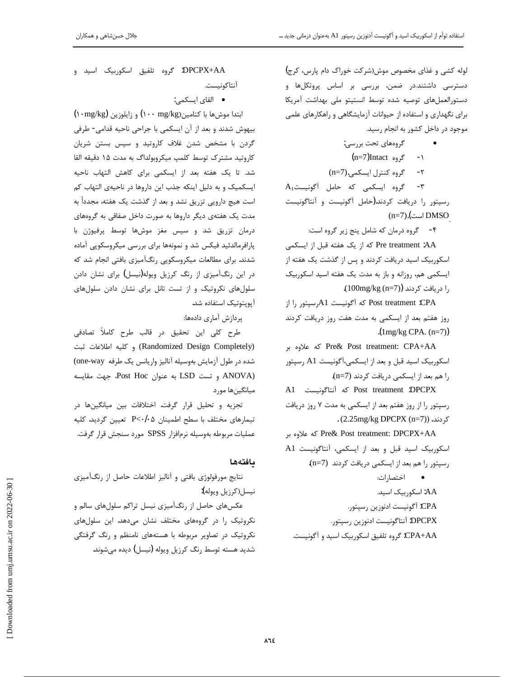لوله کشی و غذای مخصوص موش(شرکت خوراک دام پارس، کرج) دسترسی داشتند.در ضمن، بررسی بر اساس پروتکلها و دستورالعملهاى توصيه شده توسط انستيتو ملى بهداشت آمريكا برای نگهداری و استفاده از حیوانات آزمایشگاهی و راهکارهای علمی موجود در داخل کشور به انجام رسید.

- گروههای تحت بررسی:
- (n=7)Intact گروه) ۲- گروه کنترل ایسکمی.(n=7)

A<sub>1</sub> گروه ایسکمی که حامل آگونیست.A<sub>1</sub> رسپتور را دريافت كردند.(حامل أگونيست و أنتاگونيست  $(n=7)$ .(است) DMSO

۴- گروه درمان كه شامل پنج زير گروه است:

Pre treatment :AA كه از يک هفته قبل از ايسكمي اسکوربیک اسید دریافت کردند و پس از گذشت یک هفته از آیسکمی هم، روزانه و باز به مدت یک هفته اسید اسکوربیک را دريافت كردند (100mg/kg (n=7).

Post treatment :CPA که آگونیست 41رسیتور را از روز هفتم بعد از ایسکمی به مدت هفت روز دریافت کردند .(1mg/kg CPA. (n=7))

źŝ ƵƹLjƗ ƶĩ Pre& Post treatment: CPA+AA اسکوربیک اسید قبل و بعد از ایسکمی،آگونیست A1 رسپتور را هم بعد از ایسکمی دریافت کردند (n=7).

A1 كه آنتاگونيست A1 Tost treatment :DPCPX رسپتور را از روز هفتم بعد از ایسکمی به مدت ۷ روز دریافت . (2.25mg/kg DPCPX (n=7)) کر دند،

که علاوه بر Pre& Post treatment: DPCPX+AA A1 اسكوربيك اسيد قبل و بعد از ايسكمى، آنتاگونيست رسپتور را هم بعد از ایسکمی دریافت کردند (n=7). • اختصارات: AA: اسكوربيك اسيد. CPA: آگونيست ادنوزين رسپتور. DPCPX: آنتاگونيست ادنوزين رسپتور. CPA+AA: گروه تلفیق اسکوربیک اسید و آگونیست.

DPCPX+AA: گروه تلفيق اسكوربيك اسيد و آنتاكونيست.

● القای ایسکم*ی*:

(بتدا موش ها با کتامین(mg/kg) و زایلوزین (mg/kg) بیهوش شدند و بعد از آن ایسکمی با جراحی ناحیه قدامی- طرفی گردن با مشخص شدن غلاف کاروتید و سپس بستن شریان کاروتید مشترک توسط کلمپ میکروبولداگ به مدت ۱۵ دقیقه القا شد. تا یک هفته بعد از ایسکمی برای کاهش التهاب ناحیه ایسکمیک و به دلیل اینکه جذب این داروها در ناحیهی التهاب کم است هیچ دارویی تزریق نشد و بعد از گذشت یک هفته، مجدداً به مدت یک هفتهی دیگر داروها به صورت داخل صفاقی به گروههای درمان تزريق شد و سپس مغز موشها توسط پرفيوژن با پارافرمالدئید فیکس شد و نمونهها برای بررسی میکروسکوپی آماده شدند. برای مطالعات میکروسکوپی رنگآمیزی بافتی انجام شد که در این رنگآمیزی از رنگ کرزیل ویوله(نیسل) برای نشان دادن سلولهای نکروتیک و از تست تانل برای نشان دادن سلولهای آيويتوتيک استفاده شد.

پردازش آماری دادەها:

طرح کلی این تحقیق در قالب طرح کاملاً تصادفی Randomized Design Completely) وكليه اطلاعات ثبت شده در طول آزمايش بهوسيله آناليز واريانس يک طرفه one-way) به عنوان Post Hoc، جهت مقايسه LSD به عنوان Post Hoc، جهت مقايسه میانگینها مورد

تجزيه و تحليل قرار گرفت. اختلافات بين ميانگينها در تيمارهاى مختلف با سطح اطمينان P<٠/٠۵ تعيين گرديد. كليه عمليات مربوطه بهوسيله نرمافزار SPSS مورد سنجش قرار گرفت.

#### **ى**افتەھا

نتايج مورفولوژي بافتي و آناليز اطلاعات حاصل از رنگآميزي نيسل(كرزيل ويوله):

عکسهای حاصل از رنگآمیزی نیسل تراکم سلولهای سالم و نكروتيك را در گروههاى مختلف نشان مى دهد. اين سلول هاى نکروتیک در تصاویر مربوطه با هستههای نامنظم و رنگ گرفتگی شدید هسته توسط رنگ کرزیل ویوله (نیسل) دیده می شوند.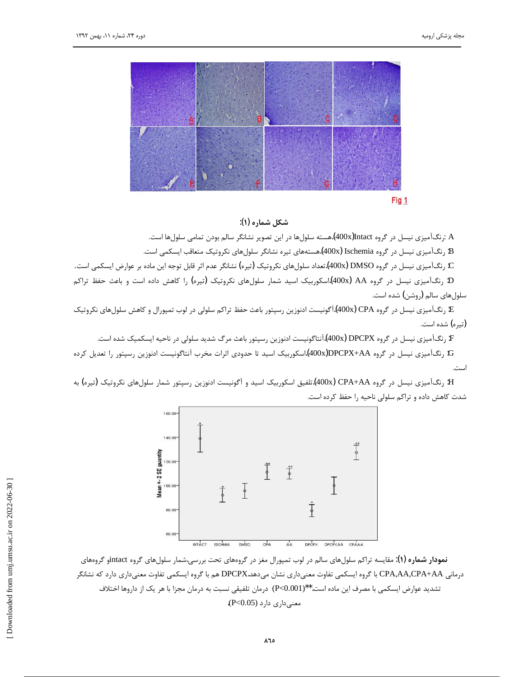

شكل شماره (۱):

A :رنگآمیزی نیسل در گروه Jintact(400x)هسته سلولها در این تصویر نشانگر سالم بودن تمامی سلولها است.

B: رنگ]میزی نیسل در گروه Ischemia (400x).هستههای تیره نشانگر سلولهای نکروتیک متعاقب ایسکمی است.

C: رنگ آمیزی نیسل در گروه DMSO (400x).تعداد سلولهای نکروتیک (تیره) نشانگر عدم اثر قابل توجه این ماده بر عوارض ایسکمی است. D: رنگآمیزی نیسل در گروه AA (400x)اسکوربیک اسید شمار سلولهای نکروتیک (تیره) را کاهش داده است و باعث حفظ تراکم سلولهای سالم (روشن) شده است.

E: رنگ1آمیزی نیسل در گروه CPA)(400x).آگونیست ادنوزین رسپتور باعث حفظ تراکم سلولی در لوب تمپورال و کاهش سلولهای نکروتیک (تیره) شده است.

F: رنگ آمیزی نیسل در گروه DPCPX (400x).آنتاگونیست ادنوزین رسپتور باعث مرگ شدید سلولی در ناحیه ایسکمیک شده است.

G: رنگآمیزی نیسل در گروه DPCPX+AA(400x)اسکوربیک اسید تا حدودی اثرات مخرب آنتاگونیست ادنوزین رسپتور را تعدیل کرده است.

H: رنگآمیزی نیسل در گروه CPA+AA (400x).تلفیق اسکوربیک اسید و آگونیست ادنوزین رسیتور شمار سلولهای نکروتیک (تیره) به شدت كاهش داده و تراكم سلولى ناحيه را حفظ كرده است.



**نمودار شماره (۱)**: مقایسه تراکم سلولهای سالم در لوب تمپورال مغز در گروههای تحت بررسی.شمار سلولهای گروه jintact و گروههای درمانی CPA,AA,CPA+AA با گروه ایسکمی تفاوت معنیداری نشان میدهد.DPCPX هم با گروه ایسکمی تفاوت معنیداری دارد که نشانگر تشديد عوارض ايسكمي با مصرف اين ماده است.\*\*(P<0.001) درمان تلفيقي نسبت به درمان مجزا با هر يک از داروها اختلاف معنی داری دارد (P<0.05).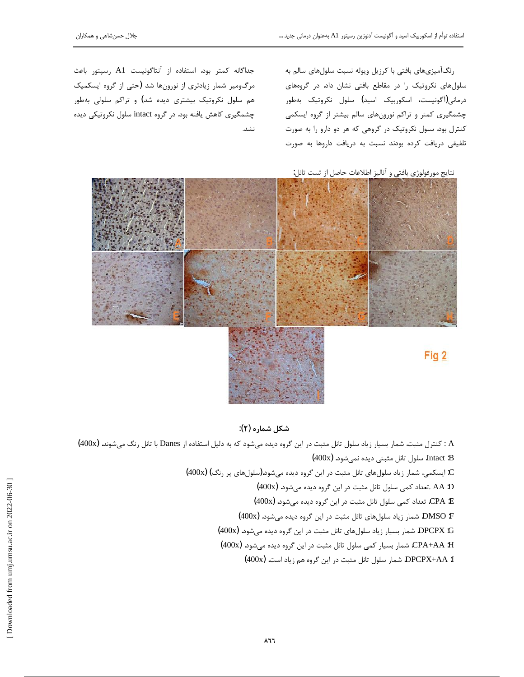رنگآمیزیهای بافتی با کرزیل ویوله نسبت سلولهای سالم به سلولهای نکروتیک را در مقاطع بافتی نشان داد. در گروههای درمانی(آگونیست، اسکوربیک اسید**)** سلول نکروتیک بهطور چشمگیری کمتر و تراکم نورونهای سالم بیشتر از گروه ایسکمی کنترل بود. سلول نکروتیک در گروهی که هر دو دارو را به صورت تلفيقى دريافت كرده بودند نسبت به دريافت داروها به صورت

جداگانه كمتر بود. استفاده از آنتاگونيست A1 رسپتور باعث مرگومیر شمار زیادتری از نورونها شد (حتی از گروه ایسکمیک هم سلول نکروتیک بیشتری دیده شد) و تراکم سلولی بهطور چشمگیری کاهش یافته بود. در گروه intact سلول نکروتیکی دیده نشد.

نتايج مورفولوژي بافتي و آناليز اطلاعات حاصل از تست تانل:



**:(ç) ƵŹŚưƃ ƪĪƃ**

H : کنترل مثبت. شمار بسیار زیاد سلول تانل مثبت در این گروه دیده میشود که به دلیل استفاده از Danes با تانل رنگ میشوند. (400x) Intact :B. سلول تانل مثبتی دیده نمی شود. (400x) C: ایسکمی. شمار زیاد سلولهای تانل مثبت در این گروه دیده میشود.(سلولهای پر رنگ) (400x) (400x) .تعداد كمى سلول تانل مثبت در اين گروه ديده مىشود. (400x) £: CPA. تعداد كمى سلول تانل مثبت در اين گروه ديده مىشود. (400x) (400x) .ŵƺƃƾƯƵŶƿŵƵƹźĭƲƿřŹŵŢŞŨƯƪƳŚţ ƽŚƷƩƺƬſŵŚƿŻŹŚưƃ .DMSO :F (400x) .ŵƺƃƾƯƵŶƿŵƵƹźĭƲƿřŹŵŢŞŨƯƪƳŚţ ƽŚƷƩƺƬſŵŚƿŻ ŹŚǀƀŝŹŚưƃ .DPCPX :G CPA+AA :H. شمار بسيار كمي سلول تانل مثبت در اين گروه ديده ميشود. (400x) DPCPX+AA :I. شمار سلول تانل مثبت در اين گروه هم زياد است. (400x)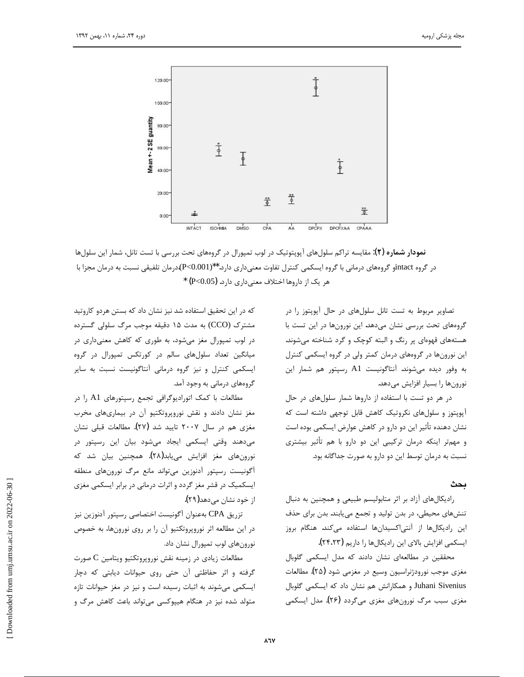

 $\overline{a}$ 

 $i$ **ذمودار شماره**  $(\Upsilon)$  مقایسه تراکم سلولهای آپوپتوتیک در لوب تمپورال در گروههای تحت بررسی با تست تانل، شمار این سلولها در گروه intactو گروههای درمانی با گروه ایسکمی کنترل تفاوت معنیداری دارد.\*\*(P<0.001).درمان تلفیقی نسبت به درمان مجزا با \* (P<0.05) هر یک از داروها اختلاف معنیداری دارد.

تصاویر مربوط به تست تانل سلولهای در حال آیویتوز را در گروههای تحت بررسی نشان میدهد. این نورونها در این تست با هستههای قهوهای پر رنگ و البته کوچک و گرد شناخته می شوند. این نورونها در گروههای درمان کمتر ولی در گروه ایسکمی کنترل به وفور ديده مي شوند. آنتاگونيست A1 رسپتور هم شمار اين نورونها را بسيار افزايش مى دهد.

در هر دو تست با استفاده از داروها شمار سلولهای در حال آپوپتوز و سلولهای نکروتیک کاهش قابل توجهی داشته است که نشان دهنده تأثير اين دو دارو در كاهش عوارض ايسكمي بوده است و مهمتر اینکه درمان ترکیبی این دو دارو با هم تأثیر بیشتری نسبت به درمان توسط این دو دارو به صورت جداگانه بود.

#### **يحث**

رادیکالهای آزاد بر اثر متابولیسم طبیعی و همچنین به دنبال تنشهای محیطی، در بدن تولید و تجمع مییابند. بدن برای حذف این رادیکالها از آنتی اکسیدانها استفاده میکند. هنگام بروز ايسكمي افزايش بالاي اين راديكالها را داريم (٢۴،٢٣).

محققین در مطالعهای نشان دادند که مدل ایسکمی گلوبال مغزی موجب نورودژنراسیون وسیع در مغزمی شود (۲۵). مطالعات Juhani Sivenius و همكارانش هم نشان داد كه ايسكمي گلوبال مغزی سبب مرگ نورونهای مغزی میگردد (۲۶). مدل ایسکمی

که در این تحقیق استفاده شد نیز نشان داد که بستن هردو کاروتید مشترک (CCO) به مدت ۱۵ دقیقه موجب مرگ سلولی گسترده در لوب تمپورال مغز میشود، به طوری که کاهش معنیداری در میانگین تعداد سلولهای سالم در کورتکس تمیورال در گروه ایسکمی کنترل و نیز گروه درمانی آنتاگونیست نسبت به سایر گروههای درمانی به وجود آمد.

مطالعات با کمک اتورادیوگرافی تجمع رسپتورهای A1 را در مغز نشان دادند و نقش نوروپروتکتیو آن در بیماریهای مخرب مغزی هم در سال ۲۰۰۷ تایید شد (۲۷). مطالعات قبلی نشان میدهند وقتی ایسکمی ایجاد میشود بیان این رسپتور در نورونهای مغز افزایش مییابد(۲۸). همچنین بیان شد که آگونیست رسیتور آدنوزین می تواند مانع مرگ نورونهای منطقه ایسکمیک در قشر مغز گردد و اثرات درمانی در برابر ایسکمی مغزی از خود نشان مے دھد(۲۹).

تزريق CPA بهعنوان أگونيست اختصاصي رسپتور آدنوزين نيز در این مطالعه اثر نوروپروتکتیو آن را بر روی نورونها، به خصوص نورونهای لوب تمپورال نشان داد.

مطالعات زيادى در زمينه نقش نوروپروتكتيو ويتامين C صورت گرفته و اثر حفاظتی آن حتی روی حیوانات دیابتی که دچار ایسکمی میشوند به اثبات رسیده است و نیز در مغز حیوانات تازه متولد شده نیز در هنگام هیپوکسی میتواند باعث کاهش مرگ و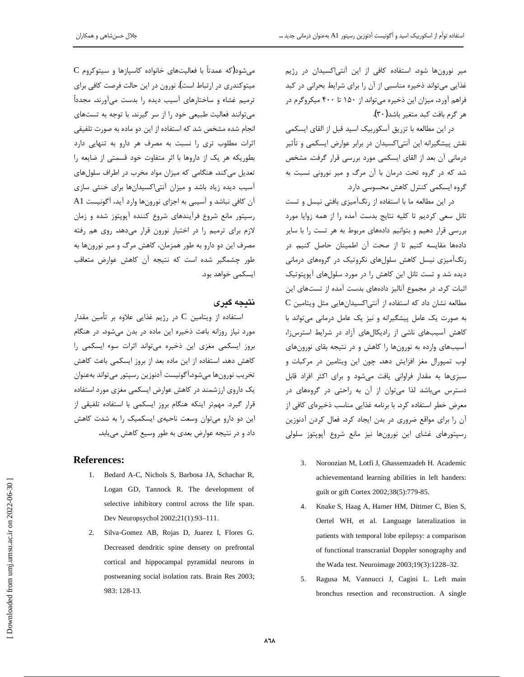میر نورونها شود. استفاده کافی از این آنتیاکسیدان در رژیم غذایی میتواند ذخیره مناسبی از آن را برای شرایط بحرانی در کبد فراهم آورد، میزان این ذخیره می تواند از ۱۵۰ تا ۴۰۰ میکروگرم در هر گرم بافت كبد متغير باشد (٣٠).

در این مطالعه با تزریق آسکوربیک اسید قبل از القای ایسکمی نقش پیشگیرانه این آنتی|کسیدان در برابر عوارض ایسکمی و تأثیر درمانی آن بعد از القای ایسکمی مورد بررسی قرار گرفت. مشخص شد که در گروه تحت درمان با آن مرگ و میر نورونی نسبت به گروه ایسکمی کنترل کاهش محسوسی دارد.

در این مطالعه ما با استفاده از رنگآمیزی بافتی نیسل و تست تانل سعی کردیم تا کلیه نتایج بدست آمده را از همه زوایا مورد بررسی قرار دهیم و بتوانیم دادههای مربوط به هر تست را با سایر دادەها مقايسه كنيم تا از صحت آن اطمينان حاصل كنيم. د<sub>ا</sub> رنگآمیزی نیسل کاهش سلولهای نکروتیک در گروههای درمانی دیده شد و تست تانل این کاهش را در مورد سلولهای آیویتوتیک اثبات کرد. در مجموع آنالیز دادههای بدست آمده از تستهای این C مطالعه نشان داد که استفاده از آنتی|کسیدانهایی مثل ویتامین به صورت یک عامل پیشگیرانه و نیز یک عامل درمانی می تواند با کاهش آسیبهای ناشی از رادیکالهای آزاد در شرایط استرس;ا، آسیبهای وارده به نورونها را کاهش و در نتیجه بقای نورونهای لوب تمپورال مغز افزایش دهد. چون این ویتامین در مرکبات و سبزیها به مقدار فراوانی یافت میشود و برای اکثر افراد قابل دسترس میباشد لذا میتوان از آن به راحتی در گروههای در معرض خطر استفاده كرد. با برنامه غذايي مناسب ذخيرهاي كافي از آن را برای مواقع ضروری در بدن ایجاد کرد. فعال کردن آدنوزین رسپتورهای غشای این نورونها نیز مانع شروع آپوپتوز سلولی

- 3. Noroozian M, Lotfi J, Ghassemzadeh H. Academic achievementand learning abilities in left handers: guilt or gift Cortex 2002;38(5):779-85.
- 4. Knake S, Haag A, Hamer HM, Dittmer C, Bien S, Oertel WH, et al. Language lateralization in patients with temporal lobe epilepsy: a comparison of functional transcranial Doppler sonography and the Wada test. Neuroimage 2003;19(3):1228–32.
- 5. Ragusa M, Vannucci J, Cagini L. Left main bronchus resection and reconstruction. A single

C میشود(که عمدتاً با فعالیتهای خانواده کاسپازها و سیتوکروم میتوکندری در ارتباط است). نورون در این حالت فرصت کافی برای ترمیم غشاء و ساختارهای آسیب دیده را بدست میآورند. مجدداً میتوانند فعالیت طبیعی خود را از سر گیرند. با توجه به تستهای انجام شده مشخص شد که استفاده از این دو ماده به صورت تلفیقی اثرات مطلوب ترى را نسبت به مصرف هر دارو به تنهايى دارد بطوريكه هر يك از داروها با اثر متفاوت خود قسمتي از ضايعه را تعدیل میکند. هنگامی که میزان مواد مخرب در اطراف سلولهای آسیب دیده زیاد باشد و میزان آنتی|کسیدانها برای خنثی سازی آن كافي نباشد و آسيبي به اجزاي نورونها وارد آيد، آگونيست A1 رسیتور مانع شروع فرآیندهای شروع کننده آیویتوز شده و زمان لازم برای ترمیم را در اختیار نورون قرار میدهد. روی هم رفته مصرف این دو دارو به طور همزمان، کاهش مرگ و میر نورونها به طور چشمگیر شده است که نتیجه آن کاهش عوارض متعاقب ایسکمی خواهد بود.

# **نتى**حە گىر ي

استفاده از ويتامين C در رژيم غذايي علاوه بر تأمين مقدار مورد نیاز روزانه باعث ذخیره این ماده در بدن میشود. در هنگام بروز ایسکمی مغزی این ذخیره میتواند اثرات سوء ایسکمی را کاهش دهد. استفاده از این ماده بعد از بروز ایسکمی باعث کاهش تخريب نورونها مىشود.آگونيست آدنوزين رسپتور مىتواند بهعنوان یک داروی ارزشمند در کاهش عوارض ایسکمی مغزی مورد استفاده قرار گیرد. مهمتر اینکه هنگام بروز ایسکمی با استفاده تلفیقی از این دو دارو میتوان وسعت ناحیهی ایسکمیک را به شدت کاهش داد و در نتیجه عوارض بعدی به طور وسیع کاهش می یابد.

#### **References:**

- 1. Bedard A-C, Nichols S, Barbosa JA, Schachar R, Logan GD, Tannock R. The development of selective inhibitory control across the life span. Dev Neuropsychol 2002;21(1):93–111.
- 2. Silva-Gomez AB, Rojas D, Juarez I, Flores G. Decreased dendritic spine densety on prefrontal cortical and hippocampal pyramidal neurons in postweaning social isolation rats. Brain Res 2003; 983: 128-13.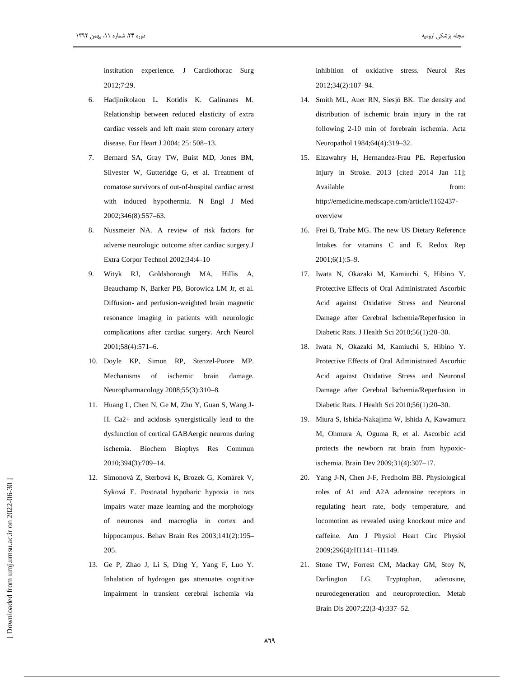institution experience. J Cardiothorac Surg 2012;7:29.

- Hadjinikolaou L. Kotidis K. Galinanes M. 6. Relationship between reduced elasticity of extra cardiac vessels and left main stem coronary artery disease. Eur Heart J 2004; 25: 508-13.
- Bernard SA, Gray TW, Buist MD, Jones BM, Silvester W, Gutteridge G, et al. Treatment of comatose survivors of out-of-hospital cardiac arrest with induced hypothermia. N Engl J Med 2002;346(8):557-63.
- $8<sup>1</sup>$ Nussmeier NA. A review of risk factors for adverse neurologic outcome after cardiac surgery.J Extra Corpor Technol 2002;34:4-10
- Wityk RJ, Goldsborough MA, Hillis A,  $\mathbf{Q}$ Beauchamp N, Barker PB, Borowicz LM Jr, et al. Diffusion- and perfusion-weighted brain magnetic resonance imaging in patients with neurologic complications after cardiac surgery. Arch Neurol 2001;58(4):571-6.
- 10. Doyle KP, Simon RP, Stenzel-Poore MP. Mechanisms of ischemic brain damage. Neuropharmacology 2008;55(3):310-8.
- 11. Huang L, Chen N, Ge M, Zhu Y, Guan S, Wang J-H. Ca2+ and acidosis synergistically lead to the dysfunction of cortical GABAergic neurons during ischemia. Biochem Biophys Res Commun 2010:394(3):709-14.
- 12. Simonová Z, Sterbová K, Brozek G, Komárek V, Syková E. Postnatal hypobaric hypoxia in rats impairs water maze learning and the morphology of neurones and macroglia in cortex and hippocampus. Behav Brain Res 2003;141(2):195-205.
- 13. Ge P, Zhao J, Li S, Ding Y, Yang F, Luo Y. Inhalation of hydrogen gas attenuates cognitive impairment in transient cerebral ischemia via

inhibition of oxidative stress. Neurol Res 2012;34(2):187-94.

- 14. Smith ML, Auer RN, Siesjö BK. The density and distribution of ischemic brain injury in the rat following 2-10 min of forebrain ischemia. Acta Neuropathol 1984;64(4):319-32.
- 15. Elzawahry H, Hernandez-Frau PE. Reperfusion Injury in Stroke. 2013 [cited 2014 Jan 11]; Available  $from$ http://emedicine.medscape.com/article/1162437overview
- 16. Frei B, Trabe MG. The new US Dietary Reference Intakes for vitamins C and E. Redox Rep  $2001;6(1):5-9.$
- 17. Iwata N, Okazaki M, Kamiuchi S, Hibino Y. Protective Effects of Oral Administrated Ascorbic Acid against Oxidative Stress and Neuronal Damage after Cerebral Ischemia/Reperfusion in Diabetic Rats. J Health Sci 2010;56(1):20-30.
- 18. Iwata N, Okazaki M, Kamiuchi S, Hibino Y. Protective Effects of Oral Administrated Ascorbic Acid against Oxidative Stress and Neuronal Damage after Cerebral Ischemia/Reperfusion in Diabetic Rats. J Health Sci 2010;56(1):20-30.
- 19. Miura S, Ishida-Nakajima W, Ishida A, Kawamura M, Ohmura A, Oguma R, et al. Ascorbic acid protects the newborn rat brain from hypoxicischemia. Brain Dev 2009;31(4):307-17.
- 20. Yang J-N, Chen J-F, Fredholm BB. Physiological roles of A1 and A2A adenosine receptors in regulating heart rate, body temperature, and locomotion as revealed using knockout mice and caffeine. Am J Physiol Heart Circ Physiol 2009;296(4):H1141-H1149.
- 21. Stone TW, Forrest CM, Mackay GM, Stoy N, Darlington LG. Tryptophan, adenosine. neurodegeneration and neuroprotection. Metab Brain Dis 2007;22(3-4):337-52.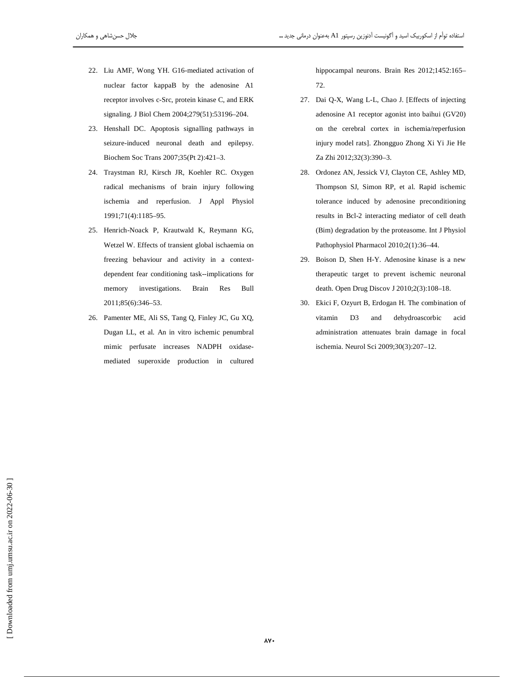- 22. Liu AMF, Wong YH. G16-mediated activation of nuclear factor kappaB by the adenosine A1 receptor involves c-Src, protein kinase C, and ERK signaling. J Biol Chem 2004;279(51):53196-204.
- 23. Henshall DC. Apoptosis signalling pathways in seizure-induced neuronal death and epilepsy. Biochem Soc Trans 2007;35(Pt 2):421-3.
- 24. Traystman RJ, Kirsch JR, Koehler RC. Oxygen radical mechanisms of brain injury following ischemia and reperfusion. J Appl Physiol 1991;71(4):1185-95.
- 25. Henrich-Noack P, Krautwald K, Reymann KG, Wetzel W. Effects of transient global ischaemia on freezing behaviour and activity in a contextdependent fear conditioning task--implications for memory investigations. **Brain** Res Bull 2011;85(6):346-53.
- 26. Pamenter ME, Ali SS, Tang Q, Finley JC, Gu XQ, Dugan LL, et al. An in vitro ischemic penumbral mimic perfusate increases NADPH oxidasemediated superoxide production in cultured

hippocampal neurons. Brain Res 2012;1452:165-72.

- 27. Dai Q-X, Wang L-L, Chao J. [Effects of injecting adenosine A1 receptor agonist into baihui (GV20) on the cerebral cortex in ischemia/reperfusion injury model rats]. Zhongguo Zhong Xi Yi Jie He Za Zhi 2012;32(3):390-3.
- 28. Ordonez AN, Jessick VJ, Clayton CE, Ashley MD, Thompson SJ, Simon RP, et al. Rapid ischemic tolerance induced by adenosine preconditioning results in Bcl-2 interacting mediator of cell death (Bim) degradation by the proteasome. Int J Physiol Pathophysiol Pharmacol 2010;2(1):36-44.
- 29. Boison D, Shen H-Y. Adenosine kinase is a new therapeutic target to prevent ischemic neuronal death. Open Drug Discov J 2010;2(3):108-18.
- 30. Ekici F, Ozyurt B, Erdogan H. The combination of vitamin D<sub>3</sub> and dehydroascorbic acid administration attenuates brain damage in focal ischemia. Neurol Sci 2009;30(3):207-12.